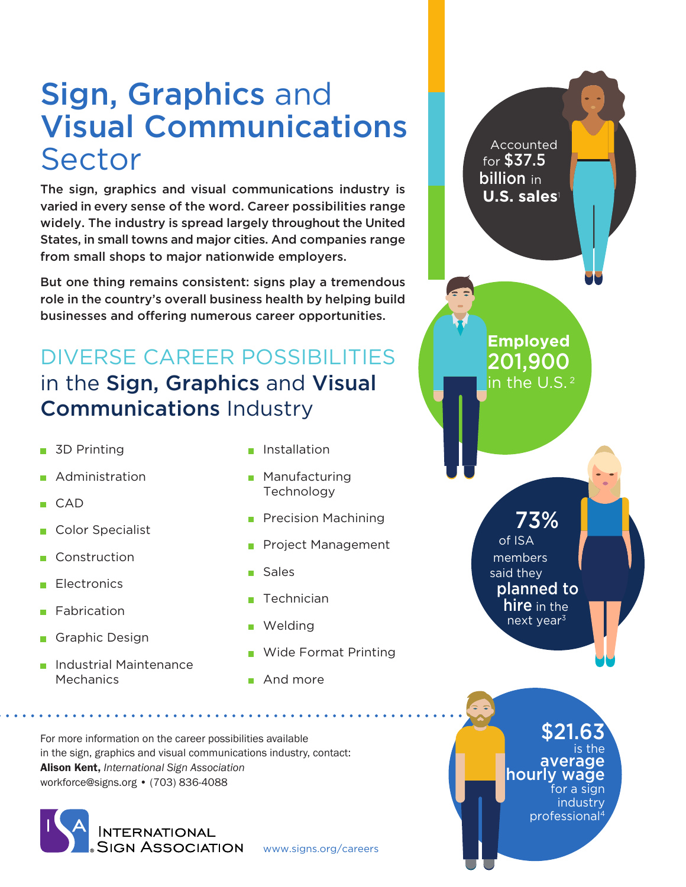## Sign, Graphics and Visual Communications Sector

The sign, graphics and visual communications industry is varied in every sense of the word. Career possibilities range widely. The industry is spread largely throughout the United States, in small towns and major cities. And companies range from small shops to major nationwide employers.

But one thing remains consistent: signs play a tremendous role in the country's overall business health by helping build businesses and offering numerous career opportunities.

## DIVERSE CAREER POSSIBILITIES in the Sign, Graphics and Visual Communications Industry

- 3D Printing  $\overline{\phantom{a}}$
- Administration
- $CAD$
- Color Specialist
- Construction
- **Electronics**
- Fabrication
- Graphic Design
- Industrial Maintenance **Mechanics**
- **n** Installation
- **Manufacturing** Technology
- **Precision Machining**
- Project Management
- Sales
- $\blacksquare$  Technician
- **Welding**
- Wide Format Printing

www.signs.org/careers

**And more** 

For more information on the career possibilities available in the sign, graphics and visual communications industry, contact: Alison Kent, *International Sign Association* workforce@signs.org • (703) 836-4088